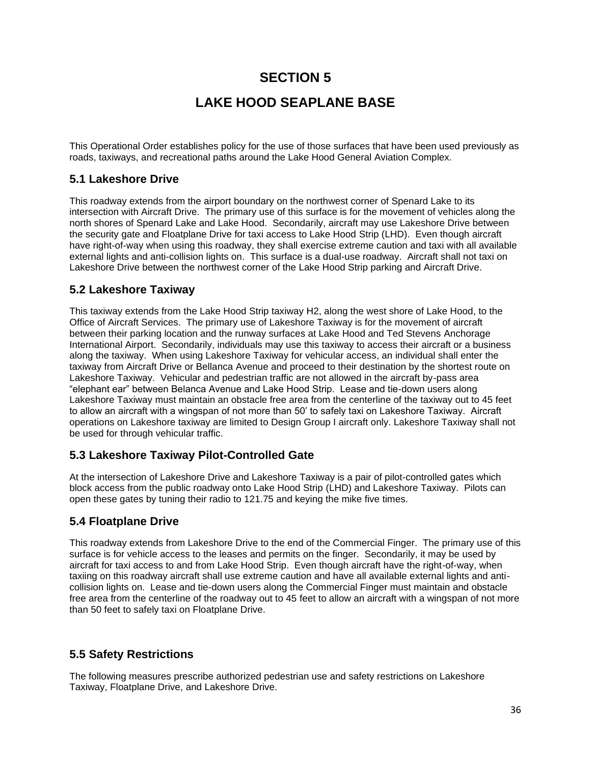# **SECTION 5**

# **LAKE HOOD SEAPLANE BASE**

This Operational Order establishes policy for the use of those surfaces that have been used previously as roads, taxiways, and recreational paths around the Lake Hood General Aviation Complex.

#### **5.1 Lakeshore Drive**

This roadway extends from the airport boundary on the northwest corner of Spenard Lake to its intersection with Aircraft Drive. The primary use of this surface is for the movement of vehicles along the north shores of Spenard Lake and Lake Hood. Secondarily, aircraft may use Lakeshore Drive between the security gate and Floatplane Drive for taxi access to Lake Hood Strip (LHD). Even though aircraft have right-of-way when using this roadway, they shall exercise extreme caution and taxi with all available external lights and anti-collision lights on. This surface is a dual-use roadway. Aircraft shall not taxi on Lakeshore Drive between the northwest corner of the Lake Hood Strip parking and Aircraft Drive.

#### **5.2 Lakeshore Taxiway**

This taxiway extends from the Lake Hood Strip taxiway H2, along the west shore of Lake Hood, to the Office of Aircraft Services. The primary use of Lakeshore Taxiway is for the movement of aircraft between their parking location and the runway surfaces at Lake Hood and Ted Stevens Anchorage International Airport. Secondarily, individuals may use this taxiway to access their aircraft or a business along the taxiway. When using Lakeshore Taxiway for vehicular access, an individual shall enter the taxiway from Aircraft Drive or Bellanca Avenue and proceed to their destination by the shortest route on Lakeshore Taxiway. Vehicular and pedestrian traffic are not allowed in the aircraft by-pass area "elephant ear" between Belanca Avenue and Lake Hood Strip. Lease and tie-down users along Lakeshore Taxiway must maintain an obstacle free area from the centerline of the taxiway out to 45 feet to allow an aircraft with a wingspan of not more than 50' to safely taxi on Lakeshore Taxiway. Aircraft operations on Lakeshore taxiway are limited to Design Group I aircraft only. Lakeshore Taxiway shall not be used for through vehicular traffic.

### **5.3 Lakeshore Taxiway Pilot-Controlled Gate**

At the intersection of Lakeshore Drive and Lakeshore Taxiway is a pair of pilot-controlled gates which block access from the public roadway onto Lake Hood Strip (LHD) and Lakeshore Taxiway. Pilots can open these gates by tuning their radio to 121.75 and keying the mike five times.

### **5.4 Floatplane Drive**

This roadway extends from Lakeshore Drive to the end of the Commercial Finger. The primary use of this surface is for vehicle access to the leases and permits on the finger. Secondarily, it may be used by aircraft for taxi access to and from Lake Hood Strip. Even though aircraft have the right-of-way, when taxiing on this roadway aircraft shall use extreme caution and have all available external lights and anticollision lights on. Lease and tie-down users along the Commercial Finger must maintain and obstacle free area from the centerline of the roadway out to 45 feet to allow an aircraft with a wingspan of not more than 50 feet to safely taxi on Floatplane Drive.

### **5.5 Safety Restrictions**

The following measures prescribe authorized pedestrian use and safety restrictions on Lakeshore Taxiway, Floatplane Drive, and Lakeshore Drive.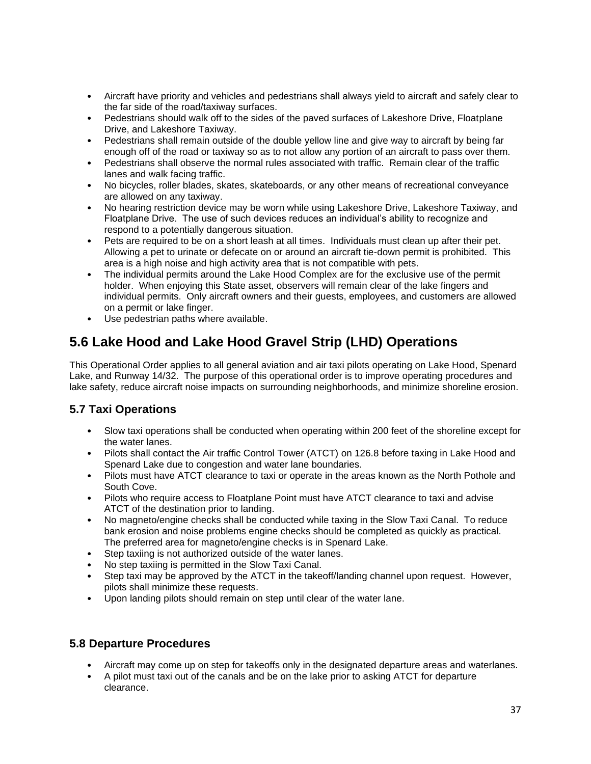- Aircraft have priority and vehicles and pedestrians shall always yield to aircraft and safely clear to the far side of the road/taxiway surfaces.
- Pedestrians should walk off to the sides of the paved surfaces of Lakeshore Drive, Floatplane Drive, and Lakeshore Taxiway.
- Pedestrians shall remain outside of the double yellow line and give way to aircraft by being far enough off of the road or taxiway so as to not allow any portion of an aircraft to pass over them.
- Pedestrians shall observe the normal rules associated with traffic. Remain clear of the traffic lanes and walk facing traffic.
- No bicycles, roller blades, skates, skateboards, or any other means of recreational conveyance are allowed on any taxiway.
- No hearing restriction device may be worn while using Lakeshore Drive, Lakeshore Taxiway, and Floatplane Drive. The use of such devices reduces an individual's ability to recognize and respond to a potentially dangerous situation.
- Pets are required to be on a short leash at all times. Individuals must clean up after their pet. Allowing a pet to urinate or defecate on or around an aircraft tie-down permit is prohibited. This area is a high noise and high activity area that is not compatible with pets.
- The individual permits around the Lake Hood Complex are for the exclusive use of the permit holder. When enjoying this State asset, observers will remain clear of the lake fingers and individual permits. Only aircraft owners and their guests, employees, and customers are allowed on a permit or lake finger.
- Use pedestrian paths where available.

# **5.6 Lake Hood and Lake Hood Gravel Strip (LHD) Operations**

This Operational Order applies to all general aviation and air taxi pilots operating on Lake Hood, Spenard Lake, and Runway 14/32. The purpose of this operational order is to improve operating procedures and lake safety, reduce aircraft noise impacts on surrounding neighborhoods, and minimize shoreline erosion.

### **5.7 Taxi Operations**

- Slow taxi operations shall be conducted when operating within 200 feet of the shoreline except for the water lanes.
- Pilots shall contact the Air traffic Control Tower (ATCT) on 126.8 before taxing in Lake Hood and Spenard Lake due to congestion and water lane boundaries.
- Pilots must have ATCT clearance to taxi or operate in the areas known as the North Pothole and South Cove.
- Pilots who require access to Floatplane Point must have ATCT clearance to taxi and advise ATCT of the destination prior to landing.
- No magneto/engine checks shall be conducted while taxing in the Slow Taxi Canal. To reduce bank erosion and noise problems engine checks should be completed as quickly as practical. The preferred area for magneto/engine checks is in Spenard Lake.
- Step taxiing is not authorized outside of the water lanes.
- No step taxiing is permitted in the Slow Taxi Canal.
- Step taxi may be approved by the ATCT in the takeoff/landing channel upon request. However, pilots shall minimize these requests.
- Upon landing pilots should remain on step until clear of the water lane.

### **5.8 Departure Procedures**

- Aircraft may come up on step for takeoffs only in the designated departure areas and waterlanes.
- A pilot must taxi out of the canals and be on the lake prior to asking ATCT for departure clearance.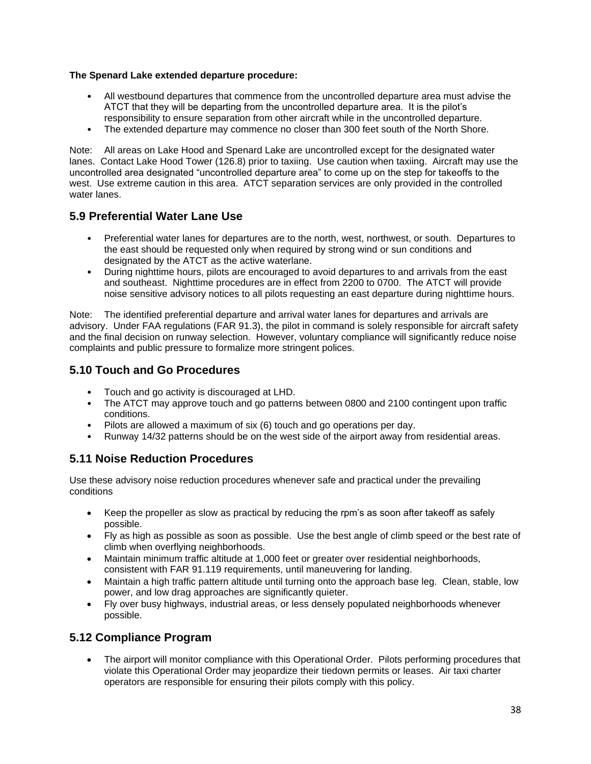#### **The Spenard Lake extended departure procedure:**

- All westbound departures that commence from the uncontrolled departure area must advise the ATCT that they will be departing from the uncontrolled departure area. It is the pilot's responsibility to ensure separation from other aircraft while in the uncontrolled departure.
- The extended departure may commence no closer than 300 feet south of the North Shore.

Note: All areas on Lake Hood and Spenard Lake are uncontrolled except for the designated water lanes. Contact Lake Hood Tower (126.8) prior to taxiing. Use caution when taxiing. Aircraft may use the uncontrolled area designated "uncontrolled departure area" to come up on the step for takeoffs to the west. Use extreme caution in this area. ATCT separation services are only provided in the controlled water lanes.

### **5.9 Preferential Water Lane Use**

- Preferential water lanes for departures are to the north, west, northwest, or south. Departures to the east should be requested only when required by strong wind or sun conditions and designated by the ATCT as the active waterlane.
- During nighttime hours, pilots are encouraged to avoid departures to and arrivals from the east and southeast. Nighttime procedures are in effect from 2200 to 0700. The ATCT will provide noise sensitive advisory notices to all pilots requesting an east departure during nighttime hours.

Note: The identified preferential departure and arrival water lanes for departures and arrivals are advisory. Under FAA regulations (FAR 91.3), the pilot in command is solely responsible for aircraft safety and the final decision on runway selection. However, voluntary compliance will significantly reduce noise complaints and public pressure to formalize more stringent polices.

### **5.10 Touch and Go Procedures**

- Touch and go activity is discouraged at LHD.
- The ATCT may approve touch and go patterns between 0800 and 2100 contingent upon traffic conditions.
- Pilots are allowed a maximum of six (6) touch and go operations per day.
- Runway 14/32 patterns should be on the west side of the airport away from residential areas.

### **5.11 Noise Reduction Procedures**

Use these advisory noise reduction procedures whenever safe and practical under the prevailing conditions

- Keep the propeller as slow as practical by reducing the rpm's as soon after takeoff as safely possible.
- Fly as high as possible as soon as possible. Use the best angle of climb speed or the best rate of climb when overflying neighborhoods.
- Maintain minimum traffic altitude at 1,000 feet or greater over residential neighborhoods, consistent with FAR 91.119 requirements, until maneuvering for landing.
- Maintain a high traffic pattern altitude until turning onto the approach base leg. Clean, stable, low power, and low drag approaches are significantly quieter.
- Fly over busy highways, industrial areas, or less densely populated neighborhoods whenever possible.

### **5.12 Compliance Program**

• The airport will monitor compliance with this Operational Order. Pilots performing procedures that violate this Operational Order may jeopardize their tiedown permits or leases. Air taxi charter operators are responsible for ensuring their pilots comply with this policy.